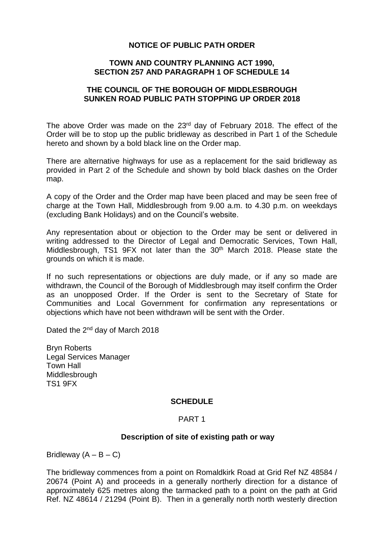## **NOTICE OF PUBLIC PATH ORDER**

## **TOWN AND COUNTRY PLANNING ACT 1990, SECTION 257 AND PARAGRAPH 1 OF SCHEDULE 14**

# **THE COUNCIL OF THE BOROUGH OF MIDDLESBROUGH SUNKEN ROAD PUBLIC PATH STOPPING UP ORDER 2018**

The above Order was made on the 23<sup>rd</sup> day of February 2018. The effect of the Order will be to stop up the public bridleway as described in Part 1 of the Schedule hereto and shown by a bold black line on the Order map.

There are alternative highways for use as a replacement for the said bridleway as provided in Part 2 of the Schedule and shown by bold black dashes on the Order map.

A copy of the Order and the Order map have been placed and may be seen free of charge at the Town Hall, Middlesbrough from 9.00 a.m. to 4.30 p.m. on weekdays (excluding Bank Holidays) and on the Council's website.

Any representation about or objection to the Order may be sent or delivered in writing addressed to the Director of Legal and Democratic Services, Town Hall, Middlesbrough, TS1 9FX not later than the 30<sup>th</sup> March 2018. Please state the grounds on which it is made.

If no such representations or objections are duly made, or if any so made are withdrawn, the Council of the Borough of Middlesbrough may itself confirm the Order as an unopposed Order. If the Order is sent to the Secretary of State for Communities and Local Government for confirmation any representations or objections which have not been withdrawn will be sent with the Order.

Dated the 2<sup>nd</sup> day of March 2018

Bryn Roberts Legal Services Manager Town Hall **Middlesbrough** TS1 9FX

#### **SCHEDULE**

#### PART 1

#### **Description of site of existing path or way**

Bridleway  $(A - B - C)$ 

The bridleway commences from a point on Romaldkirk Road at Grid Ref NZ 48584 / 20674 (Point A) and proceeds in a generally northerly direction for a distance of approximately 625 metres along the tarmacked path to a point on the path at Grid Ref. NZ 48614 / 21294 (Point B). Then in a generally north north westerly direction